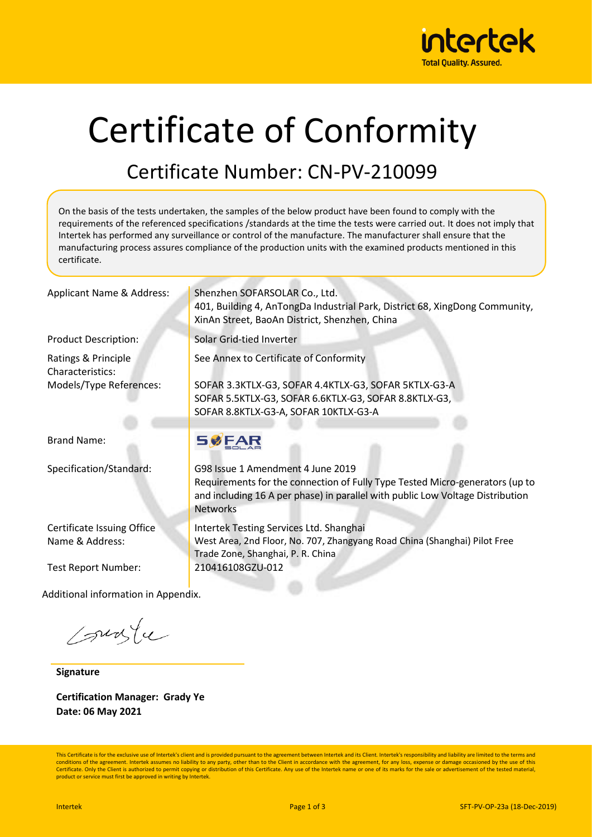

# Certificate of Conformity

### Certificate Number: CN-PV-210099

On the basis of the tests undertaken, the samples of the below product have been found to comply with the requirements of the referenced specifications /standards at the time the tests were carried out. It does not imply that Intertek has performed any surveillance or control of the manufacture. The manufacturer shall ensure that the manufacturing process assures compliance of the production units with the examined products mentioned in this certificate.

Ratings & Principle Characteristics: Models/Type References:

Brand Name:

Certificate Issuing Office Name & Address:

Test Report Number: 210416108GZU-012

Additional information in Appendix.

sunte

**Signature**

**Certification Manager: Grady Ye Date: 06 May 2021**

Applicant Name & Address: Shenzhen SOFARSOLAR Co., Ltd. 401, Building 4, AnTongDa Industrial Park, District 68, XingDong Community, XinAn Street, BaoAn District, Shenzhen, China

Product Description: Solar Grid-tied Inverter

See Annex to Certificate of Conformity

SOFAR 3.3KTLX-G3, SOFAR 4.4KTLX-G3, SOFAR 5KTLX-G3-A SOFAR 5.5KTLX-G3, SOFAR 6.6KTLX-G3, SOFAR 8.8KTLX-G3, SOFAR 8.8KTLX-G3-A, SOFAR 10KTLX-G3-A

#### **SØFAR**

Specification/Standard: G98 Issue 1 Amendment 4 June 2019 Requirements for the connection of Fully Type Tested Micro-generators (up to and including 16 A per phase) in parallel with public Low Voltage Distribution Networks

> Intertek Testing Services Ltd. Shanghai West Area, 2nd Floor, No. 707, Zhangyang Road China (Shanghai) Pilot Free Trade Zone, Shanghai, P. R. China

This Certificate is for the exclusive use of Intertek's client and is provided pursuant to the agreement between Intertek and its Client. Intertek's responsibility and liability are limited to the terms and conditions of the agreement. Intertek assumes no liability to any party, other than to the Client in accordance with the agreement, for any loss, expense or damage occasioned by the use of this Certificate. Only the Client is authorized to permit copying or distribution of this Certificate. Any use of the Intertek name or one of its marks for the sale or advertisement of the tested material product or service must first be approved in writing by Intertek.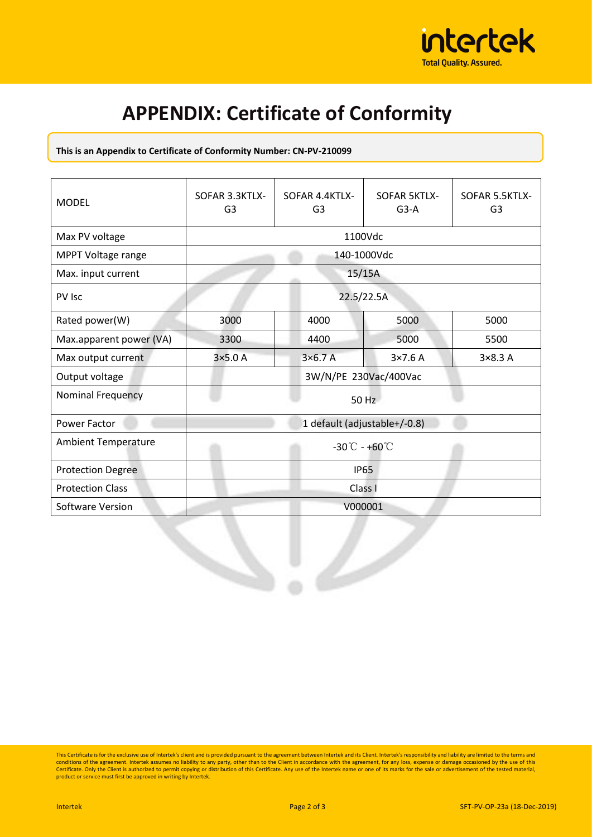

## **APPENDIX: Certificate of Conformity**

#### **This is an Appendix to Certificate of Conformity Number: CN-PV-210099**

| <b>MODEL</b>               | SOFAR 3.3KTLX-<br>G <sub>3</sub>            | SOFAR 4.4KTLX-<br>G <sub>3</sub> | <b>SOFAR 5KTLX-</b><br>$G3-A$ | SOFAR 5.5KTLX-<br>G <sub>3</sub> |  |  |
|----------------------------|---------------------------------------------|----------------------------------|-------------------------------|----------------------------------|--|--|
| Max PV voltage             | 1100Vdc                                     |                                  |                               |                                  |  |  |
| MPPT Voltage range         | 140-1000Vdc                                 |                                  |                               |                                  |  |  |
| Max. input current         | 15/15A                                      |                                  |                               |                                  |  |  |
| PV Isc                     | 22.5/22.5A                                  |                                  |                               |                                  |  |  |
| Rated power(W)             | 3000                                        | 4000                             | 5000                          | 5000                             |  |  |
| Max.apparent power (VA)    | 3300                                        | 4400                             | 5000                          | 5500                             |  |  |
| Max output current         | $3\times5.0A$                               | $3\times 6.7$ A                  | $3\times7.6$ A                | $3\times8.3$ A                   |  |  |
| Output voltage             | 3W/N/PE 230Vac/400Vac                       |                                  |                               |                                  |  |  |
| Nominal Frequency          | 50 Hz                                       |                                  |                               |                                  |  |  |
| Power Factor               | 1 default (adjustable+/-0.8)                |                                  |                               |                                  |  |  |
| <b>Ambient Temperature</b> | $-30^{\circ}\text{C} - +60^{\circ}\text{C}$ |                                  |                               |                                  |  |  |
| <b>Protection Degree</b>   | <b>IP65</b>                                 |                                  |                               |                                  |  |  |
| <b>Protection Class</b>    | Class I                                     |                                  |                               |                                  |  |  |
| Software Version           | V000001                                     |                                  |                               |                                  |  |  |

This Certificate is for the exclusive use of Intertek's client and is provided pursuant to the agreement between Intertek and its Client. Intertek's responsibility and liability are limited to the terms and conditions of t